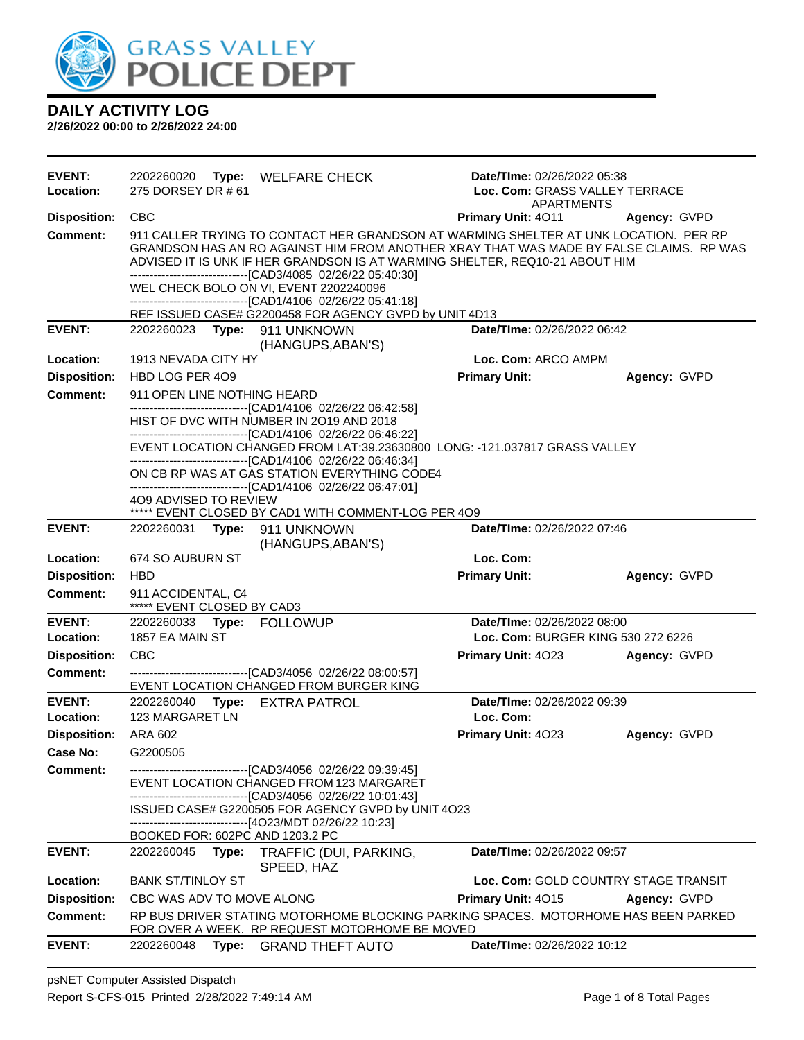

| <b>EVENT:</b><br>Location: | 2202260020<br>Type: WELFARE CHECK<br>275 DORSEY DR # 61                                                                                                                                                                                                                                                                       | Date/TIme: 02/26/2022 05:38<br>Loc. Com: GRASS VALLEY TERRACE<br><b>APARTMENTS</b> |              |
|----------------------------|-------------------------------------------------------------------------------------------------------------------------------------------------------------------------------------------------------------------------------------------------------------------------------------------------------------------------------|------------------------------------------------------------------------------------|--------------|
| <b>Disposition:</b>        | <b>CBC</b>                                                                                                                                                                                                                                                                                                                    | Primary Unit: 4011                                                                 | Agency: GVPD |
| Comment:                   | 911 CALLER TRYING TO CONTACT HER GRANDSON AT WARMING SHELTER AT UNK LOCATION. PER RP<br>GRANDSON HAS AN RO AGAINST HIM FROM ANOTHER XRAY THAT WAS MADE BY FALSE CLAIMS. RP WAS<br>ADVISED IT IS UNK IF HER GRANDSON IS AT WARMING SHELTER, REQ10-21 ABOUT HIM<br>-------------------------------[CAD3/4085 02/26/22 05:40:30] |                                                                                    |              |
|                            | WEL CHECK BOLO ON VI, EVENT 2202240096                                                                                                                                                                                                                                                                                        |                                                                                    |              |
|                            | --------------------------------[CAD1/4106 02/26/22 05:41:18]                                                                                                                                                                                                                                                                 |                                                                                    |              |
| <b>EVENT:</b>              | REF ISSUED CASE# G2200458 FOR AGENCY GVPD by UNIT 4D13                                                                                                                                                                                                                                                                        | Date/TIme: 02/26/2022 06:42                                                        |              |
|                            | 2202260023 Type: 911 UNKNOWN<br>(HANGUPS, ABAN'S)                                                                                                                                                                                                                                                                             |                                                                                    |              |
| Location:                  | 1913 NEVADA CITY HY                                                                                                                                                                                                                                                                                                           | Loc. Com: ARCO AMPM                                                                |              |
| <b>Disposition:</b>        | HBD LOG PER 409                                                                                                                                                                                                                                                                                                               | <b>Primary Unit:</b>                                                               | Agency: GVPD |
| <b>Comment:</b>            | 911 OPEN LINE NOTHING HEARD<br>-------------------------------[CAD1/4106 02/26/22 06:42:58]                                                                                                                                                                                                                                   |                                                                                    |              |
|                            | HIST OF DVC WITH NUMBER IN 2019 AND 2018                                                                                                                                                                                                                                                                                      |                                                                                    |              |
|                            | -------------------------------[CAD1/4106 02/26/22 06:46:22]<br>EVENT LOCATION CHANGED FROM LAT:39.23630800 LONG: - 121.037817 GRASS VALLEY                                                                                                                                                                                   |                                                                                    |              |
|                            | -------------------------------[CAD1/4106 02/26/22 06:46:34]<br>ON CB RP WAS AT GAS STATION EVERYTHING CODE4                                                                                                                                                                                                                  |                                                                                    |              |
|                            | ------------------------------[CAD1/4106 02/26/22 06:47:01]<br>4O9 ADVISED TO REVIEW                                                                                                                                                                                                                                          |                                                                                    |              |
|                            | ***** EVENT CLOSED BY CAD1 WITH COMMENT-LOG PER 4O9                                                                                                                                                                                                                                                                           |                                                                                    |              |
| <b>EVENT:</b>              | 2202260031<br>Type: 911 UNKNOWN<br>(HANGUPS, ABAN'S)                                                                                                                                                                                                                                                                          | Date/TIme: 02/26/2022 07:46                                                        |              |
| Location:                  | 674 SO AUBURN ST                                                                                                                                                                                                                                                                                                              | Loc. Com:                                                                          |              |
| <b>Disposition:</b>        | <b>HBD</b>                                                                                                                                                                                                                                                                                                                    | <b>Primary Unit:</b>                                                               | Agency: GVPD |
|                            |                                                                                                                                                                                                                                                                                                                               |                                                                                    |              |
| <b>Comment:</b>            | 911 ACCIDENTAL, C4<br>***** EVENT CLOSED BY CAD3                                                                                                                                                                                                                                                                              |                                                                                    |              |
| <b>EVENT:</b>              | 2202260033 Type: FOLLOWUP                                                                                                                                                                                                                                                                                                     | Date/TIme: 02/26/2022 08:00                                                        |              |
| Location:                  | 1857 EA MAIN ST                                                                                                                                                                                                                                                                                                               | Loc. Com: BURGER KING 530 272 6226                                                 |              |
| <b>Disposition:</b>        | CBC                                                                                                                                                                                                                                                                                                                           | Primary Unit: 4023                                                                 | Agency: GVPD |
| <b>Comment:</b>            | -------------------------------[CAD3/4056 02/26/22 08:00:57]<br>EVENT LOCATION CHANGED FROM BURGER KING                                                                                                                                                                                                                       |                                                                                    |              |
| <b>EVENT:</b>              | 2202260040 Type: EXTRA PATROL                                                                                                                                                                                                                                                                                                 | Date/TIme: 02/26/2022 09:39                                                        |              |
| Location:                  | 123 MARGARET LN                                                                                                                                                                                                                                                                                                               | Loc. Com:                                                                          |              |
| <b>Disposition:</b>        | ARA 602                                                                                                                                                                                                                                                                                                                       | Primary Unit: 4023                                                                 | Agency: GVPD |
| Case No:                   | G2200505                                                                                                                                                                                                                                                                                                                      |                                                                                    |              |
| <b>Comment:</b>            | ---------------------------------[CAD3/4056 02/26/22 09:39:45]                                                                                                                                                                                                                                                                |                                                                                    |              |
|                            | EVENT LOCATION CHANGED FROM 123 MARGARET<br>------------------------------[CAD3/4056 02/26/22 10:01:43]                                                                                                                                                                                                                       |                                                                                    |              |
|                            | ISSUED CASE# G2200505 FOR AGENCY GVPD by UNIT 4O23<br>-------------------------------[4O23/MDT 02/26/22 10:23]                                                                                                                                                                                                                |                                                                                    |              |
|                            | BOOKED FOR: 602PC AND 1203.2 PC                                                                                                                                                                                                                                                                                               |                                                                                    |              |
| <b>EVENT:</b>              | 2202260045<br>Type:<br>TRAFFIC (DUI, PARKING,<br>SPEED, HAZ                                                                                                                                                                                                                                                                   | <b>Date/Time: 02/26/2022 09:57</b>                                                 |              |
| Location:                  | <b>BANK ST/TINLOY ST</b>                                                                                                                                                                                                                                                                                                      | Loc. Com: GOLD COUNTRY STAGE TRANSIT                                               |              |
| <b>Disposition:</b>        | CBC WAS ADV TO MOVE ALONG                                                                                                                                                                                                                                                                                                     | Primary Unit: 4015                                                                 | Agency: GVPD |
| <b>Comment:</b>            | RP BUS DRIVER STATING MOTORHOME BLOCKING PARKING SPACES. MOTORHOME HAS BEEN PARKED<br>FOR OVER A WEEK. RP REQUEST MOTORHOME BE MOVED                                                                                                                                                                                          |                                                                                    |              |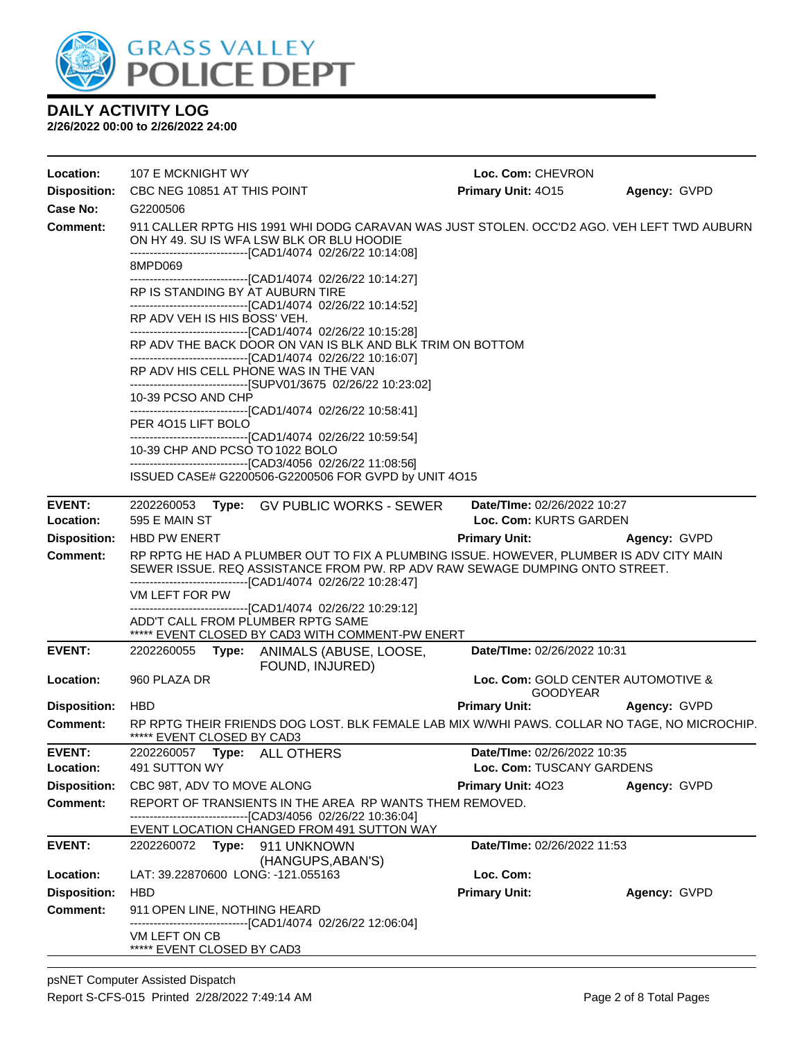

| Location:           | 107 E MCKNIGHT WY                           |                                                                                                                                                                                                         | Loc. Com: CHEVRON                                     |              |
|---------------------|---------------------------------------------|---------------------------------------------------------------------------------------------------------------------------------------------------------------------------------------------------------|-------------------------------------------------------|--------------|
| <b>Disposition:</b> | CBC NEG 10851 AT THIS POINT                 |                                                                                                                                                                                                         | Primary Unit: 4015                                    | Agency: GVPD |
| Case No:            | G2200506                                    |                                                                                                                                                                                                         |                                                       |              |
| <b>Comment:</b>     |                                             | 911 CALLER RPTG HIS 1991 WHI DODG CARAVAN WAS JUST STOLEN. OCC'D2 AGO. VEH LEFT TWD AUBURN<br>ON HY 49. SU IS WFA LSW BLK OR BLU HOODIE<br>-------------------------------[CAD1/4074 02/26/22 10:14:08] |                                                       |              |
|                     | 8MPD069                                     |                                                                                                                                                                                                         |                                                       |              |
|                     | RP IS STANDING BY AT AUBURN TIRE            | -------------------------------[CAD1/4074 02/26/22 10:14:27]<br>-------------------------------[CAD1/4074 02/26/22 10:14:52]                                                                            |                                                       |              |
|                     | RP ADV VEH IS HIS BOSS' VEH.                |                                                                                                                                                                                                         |                                                       |              |
|                     |                                             | --------------------------------[CAD1/4074 02/26/22 10:15:28]<br>RP ADV THE BACK DOOR ON VAN IS BLK AND BLK TRIM ON BOTTOM                                                                              |                                                       |              |
|                     |                                             | -------------------------------[CAD1/4074 02/26/22 10:16:07]<br>RP ADV HIS CELL PHONE WAS IN THE VAN<br>------------------------------[SUPV01/3675 02/26/22 10:23:02]                                   |                                                       |              |
|                     | 10-39 PCSO AND CHP                          |                                                                                                                                                                                                         |                                                       |              |
|                     | PER 4015 LIFT BOLO                          | ----------------------------------[CAD1/4074 02/26/22 10:58:41]<br>---------------------------------[CAD1/4074 02/26/22 10:59:54]                                                                       |                                                       |              |
|                     | 10-39 CHP AND PCSO TO 1022 BOLO             |                                                                                                                                                                                                         |                                                       |              |
|                     |                                             | -------------------------------[CAD3/4056 02/26/22 11:08:56]<br>ISSUED CASE# G2200506-G2200506 FOR GVPD by UNIT 4O15                                                                                    |                                                       |              |
| <b>EVENT:</b>       | 2202260053                                  | Type: GV PUBLIC WORKS - SEWER                                                                                                                                                                           | Date/TIme: 02/26/2022 10:27                           |              |
| Location:           | 595 E MAIN ST                               |                                                                                                                                                                                                         | Loc. Com: KURTS GARDEN                                |              |
| <b>Disposition:</b> | <b>HBD PW ENERT</b>                         |                                                                                                                                                                                                         | <b>Primary Unit:</b>                                  | Agency: GVPD |
| <b>Comment:</b>     |                                             | RP RPTG HE HAD A PLUMBER OUT TO FIX A PLUMBING ISSUE. HOWEVER, PLUMBER IS ADV CITY MAIN<br>SEWER ISSUE. REQ ASSISTANCE FROM PW. RP ADV RAW SEWAGE DUMPING ONTO STREET.                                  |                                                       |              |
|                     | VM LEFT FOR PW                              | -------------------------------[CAD1/4074_02/26/22 10:28:47]<br>---------------------------------[CAD1/4074 02/26/22 10:29:12]                                                                          |                                                       |              |
|                     |                                             | ADD'T CALL FROM PLUMBER RPTG SAME<br>***** EVENT CLOSED BY CAD3 WITH COMMENT-PW ENERT                                                                                                                   |                                                       |              |
| <b>EVENT:</b>       | 2202260055                                  | Type: ANIMALS (ABUSE, LOOSE,<br>FOUND, INJURED)                                                                                                                                                         | Date/TIme: 02/26/2022 10:31                           |              |
| Location:           | 960 PLAZA DR                                |                                                                                                                                                                                                         | Loc. Com: GOLD CENTER AUTOMOTIVE &<br><b>GOODYEAR</b> |              |
| <b>Disposition:</b> | <b>HBD</b>                                  |                                                                                                                                                                                                         | <b>Primary Unit:</b>                                  | Agency: GVPD |
| Comment:            | ***** EVENT CLOSED BY CAD3                  | RP RPTG THEIR FRIENDS DOG LOST. BLK FEMALE LAB MIX W/WHI PAWS. COLLAR NO TAGE, NO MICROCHIP.                                                                                                            |                                                       |              |
| <b>EVENT:</b>       |                                             |                                                                                                                                                                                                         | Date/TIme: 02/26/2022 10:35                           |              |
| Location:           | 491 SUTTON WY                               |                                                                                                                                                                                                         | Loc. Com: TUSCANY GARDENS                             |              |
| <b>Disposition:</b> | CBC 98T, ADV TO MOVE ALONG                  |                                                                                                                                                                                                         | <b>Primary Unit: 4023</b>                             | Agency: GVPD |
| <b>Comment:</b>     |                                             | REPORT OF TRANSIENTS IN THE AREA RP WANTS THEM REMOVED.<br>-------------------------------[CAD3/4056 02/26/22 10:36:04]<br>EVENT LOCATION CHANGED FROM 491 SUTTON WAY                                   |                                                       |              |
| <b>EVENT:</b>       |                                             | 2202260072 Type: 911 UNKNOWN                                                                                                                                                                            | Date/TIme: 02/26/2022 11:53                           |              |
| Location:           | LAT: 39.22870600 LONG: -121.055163          | (HANGUPS, ABAN'S)                                                                                                                                                                                       | Loc. Com:                                             |              |
| <b>Disposition:</b> | <b>HBD</b>                                  |                                                                                                                                                                                                         | <b>Primary Unit:</b>                                  | Agency: GVPD |
| <b>Comment:</b>     | 911 OPEN LINE, NOTHING HEARD                | -------------------------------[CAD1/4074 02/26/22 12:06:04]                                                                                                                                            |                                                       |              |
|                     | VM LEFT ON CB<br>***** EVENT CLOSED BY CAD3 |                                                                                                                                                                                                         |                                                       |              |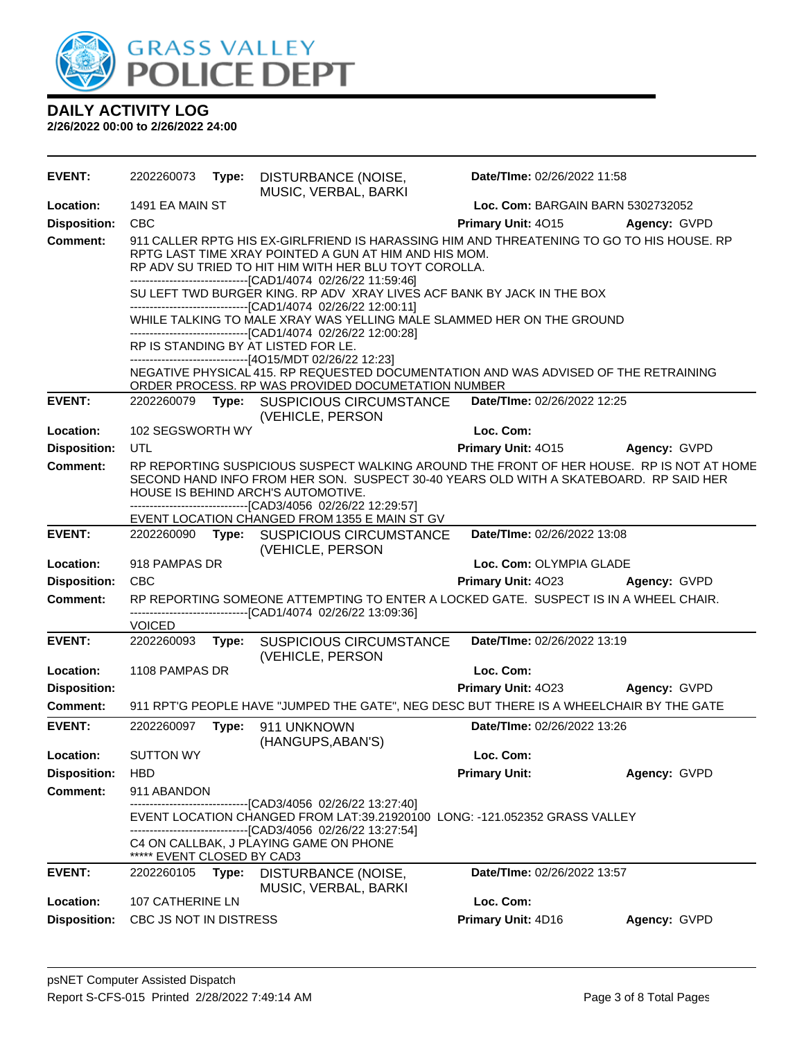

| <b>EVENT:</b>       | 2202260073                 | Type: | DISTURBANCE (NOISE,<br>MUSIC, VERBAL, BARKI                                                                                                                                                                                                                                                                                                                                                                                                                                                    | Date/TIme: 02/26/2022 11:58        |              |
|---------------------|----------------------------|-------|------------------------------------------------------------------------------------------------------------------------------------------------------------------------------------------------------------------------------------------------------------------------------------------------------------------------------------------------------------------------------------------------------------------------------------------------------------------------------------------------|------------------------------------|--------------|
| Location:           | 1491 EA MAIN ST            |       |                                                                                                                                                                                                                                                                                                                                                                                                                                                                                                | Loc. Com: BARGAIN BARN 5302732052  |              |
| <b>Disposition:</b> | <b>CBC</b>                 |       |                                                                                                                                                                                                                                                                                                                                                                                                                                                                                                | Primary Unit: 4015                 | Agency: GVPD |
| <b>Comment:</b>     |                            |       | 911 CALLER RPTG HIS EX-GIRLFRIEND IS HARASSING HIM AND THREATENING TO GO TO HIS HOUSE. RP<br>RPTG LAST TIME XRAY POINTED A GUN AT HIM AND HIS MOM.<br>RP ADV SU TRIED TO HIT HIM WITH HER BLU TOYT COROLLA.<br>-------------------------------[CAD1/4074 02/26/22 11:59:46]<br>SU LEFT TWD BURGER KING. RP ADV XRAY LIVES ACF BANK BY JACK IN THE BOX<br>-------------------------------[CAD1/4074 02/26/22 12:00:11]<br>WHILE TALKING TO MALE XRAY WAS YELLING MALE SLAMMED HER ON THE GROUND |                                    |              |
|                     |                            |       | -------------------------------[CAD1/4074 02/26/22 12:00:28]<br>RP IS STANDING BY AT LISTED FOR LE.                                                                                                                                                                                                                                                                                                                                                                                            |                                    |              |
|                     |                            |       | ------------------------------[4O15/MDT 02/26/22 12:23]                                                                                                                                                                                                                                                                                                                                                                                                                                        |                                    |              |
|                     |                            |       | NEGATIVE PHYSICAL 415. RP REQUESTED DOCUMENTATION AND WAS ADVISED OF THE RETRAINING<br>ORDER PROCESS. RP WAS PROVIDED DOCUMETATION NUMBER                                                                                                                                                                                                                                                                                                                                                      |                                    |              |
| <b>EVENT:</b>       |                            |       | 2202260079 Type: SUSPICIOUS CIRCUMSTANCE<br>(VEHICLE, PERSON                                                                                                                                                                                                                                                                                                                                                                                                                                   | Date/TIme: 02/26/2022 12:25        |              |
| Location:           | 102 SEGSWORTH WY           |       |                                                                                                                                                                                                                                                                                                                                                                                                                                                                                                | Loc. Com:                          |              |
| <b>Disposition:</b> | UTL                        |       |                                                                                                                                                                                                                                                                                                                                                                                                                                                                                                | <b>Primary Unit: 4015</b>          | Agency: GVPD |
| <b>Comment:</b>     |                            |       | RP REPORTING SUSPICIOUS SUSPECT WALKING AROUND THE FRONT OF HER HOUSE. RP IS NOT AT HOME<br>SECOND HAND INFO FROM HER SON. SUSPECT 30-40 YEARS OLD WITH A SKATEBOARD. RP SAID HER<br>HOUSE IS BEHIND ARCH'S AUTOMOTIVE.<br>-------------------------------[CAD3/4056 02/26/22 12:29:57]                                                                                                                                                                                                        |                                    |              |
|                     |                            |       | EVENT LOCATION CHANGED FROM 1355 E MAIN ST GV                                                                                                                                                                                                                                                                                                                                                                                                                                                  |                                    |              |
| <b>EVENT:</b>       |                            |       | 2202260090 Type: SUSPICIOUS CIRCUMSTANCE<br>(VEHICLE, PERSON                                                                                                                                                                                                                                                                                                                                                                                                                                   | Date/TIme: 02/26/2022 13:08        |              |
| Location:           | 918 PAMPAS DR              |       |                                                                                                                                                                                                                                                                                                                                                                                                                                                                                                | Loc. Com: OLYMPIA GLADE            |              |
| <b>Disposition:</b> | <b>CBC</b>                 |       |                                                                                                                                                                                                                                                                                                                                                                                                                                                                                                | Primary Unit: 4023                 | Agency: GVPD |
| <b>Comment:</b>     | <b>VOICED</b>              |       | RP REPORTING SOMEONE ATTEMPTING TO ENTER A LOCKED GATE. SUSPECT IS IN A WHEEL CHAIR.<br>-------------------------------[CAD1/4074_02/26/22 13:09:36]                                                                                                                                                                                                                                                                                                                                           |                                    |              |
| <b>EVENT:</b>       | 2202260093                 | Type: | SUSPICIOUS CIRCUMSTANCE<br>(VEHICLE, PERSON                                                                                                                                                                                                                                                                                                                                                                                                                                                    | Date/TIme: 02/26/2022 13:19        |              |
| Location:           | 1108 PAMPAS DR             |       |                                                                                                                                                                                                                                                                                                                                                                                                                                                                                                | Loc. Com:                          |              |
| <b>Disposition:</b> |                            |       |                                                                                                                                                                                                                                                                                                                                                                                                                                                                                                | Primary Unit: 4023                 | Agency: GVPD |
| <b>Comment:</b>     |                            |       | 911 RPT'G PEOPLE HAVE "JUMPED THE GATE", NEG DESC BUT THERE IS A WHEELCHAIR BY THE GATE                                                                                                                                                                                                                                                                                                                                                                                                        |                                    |              |
| <b>EVENT:</b>       | 2202260097 Type:           |       | 911 UNKNOWN<br>(HANGUPS, ABAN'S)                                                                                                                                                                                                                                                                                                                                                                                                                                                               | <b>Date/Time: 02/26/2022 13:26</b> |              |
| <b>Location:</b>    | <b>SUTTON WY</b>           |       |                                                                                                                                                                                                                                                                                                                                                                                                                                                                                                | Loc. Com:                          |              |
| <b>Disposition:</b> | <b>HBD</b>                 |       |                                                                                                                                                                                                                                                                                                                                                                                                                                                                                                | <b>Primary Unit:</b>               | Agency: GVPD |
| <b>Comment:</b>     | 911 ABANDON                |       | -----------------------[CAD3/4056_02/26/22 13:27:40]                                                                                                                                                                                                                                                                                                                                                                                                                                           |                                    |              |
|                     |                            |       | EVENT LOCATION CHANGED FROM LAT:39.21920100 LONG: -121.052352 GRASS VALLEY                                                                                                                                                                                                                                                                                                                                                                                                                     |                                    |              |
|                     | ***** EVENT CLOSED BY CAD3 |       | -------------------------------[CAD3/4056 02/26/22 13:27:54]<br>C4 ON CALLBAK, J PLAYING GAME ON PHONE                                                                                                                                                                                                                                                                                                                                                                                         |                                    |              |
| <b>EVENT:</b>       | 2202260105                 | Type: | DISTURBANCE (NOISE,<br>MUSIC, VERBAL, BARKI                                                                                                                                                                                                                                                                                                                                                                                                                                                    | Date/TIme: 02/26/2022 13:57        |              |
| Location:           | 107 CATHERINE LN           |       |                                                                                                                                                                                                                                                                                                                                                                                                                                                                                                | Loc. Com:                          |              |
| <b>Disposition:</b> | CBC JS NOT IN DISTRESS     |       |                                                                                                                                                                                                                                                                                                                                                                                                                                                                                                | Primary Unit: 4D16                 | Agency: GVPD |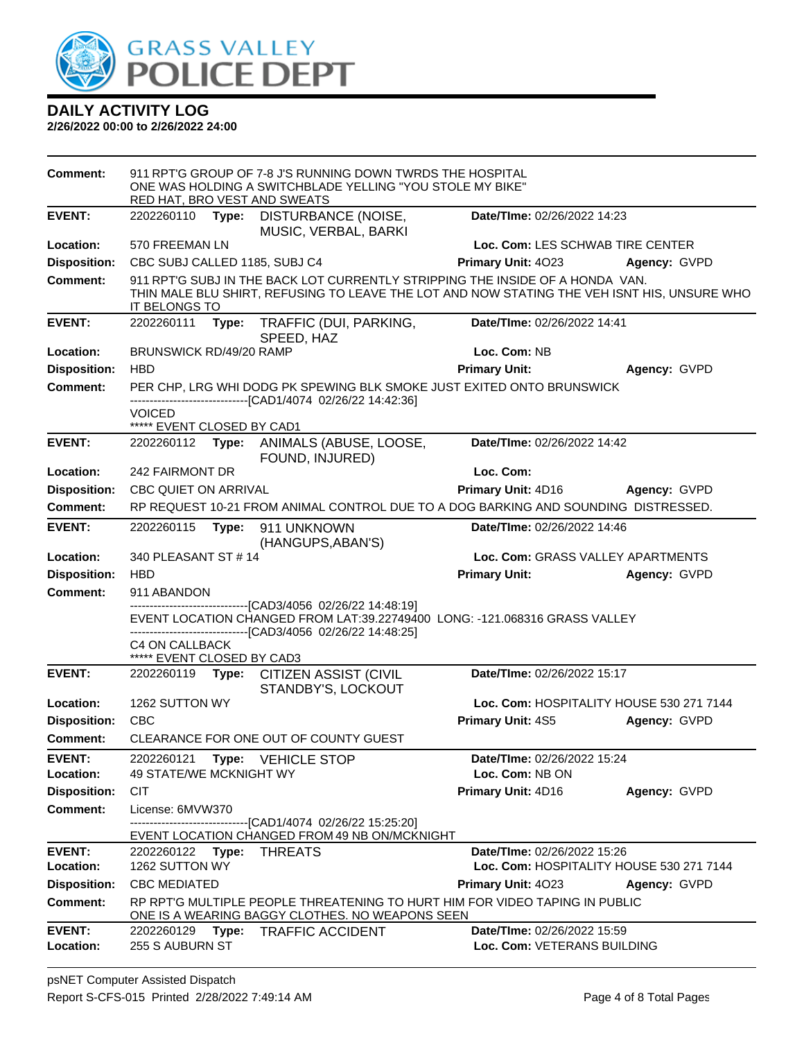

| Comment:                               | RED HAT, BRO VEST AND SWEATS                        |       | 911 RPT'G GROUP OF 7-8 J'S RUNNING DOWN TWRDS THE HOSPITAL<br>ONE WAS HOLDING A SWITCHBLADE YELLING "YOU STOLE MY BIKE"                                                                    |                                                            |                                          |
|----------------------------------------|-----------------------------------------------------|-------|--------------------------------------------------------------------------------------------------------------------------------------------------------------------------------------------|------------------------------------------------------------|------------------------------------------|
| <b>EVENT:</b>                          | 2202260110                                          | Type: | DISTURBANCE (NOISE,<br>MUSIC, VERBAL, BARKI                                                                                                                                                | Date/TIme: 02/26/2022 14:23                                |                                          |
| Location:                              | 570 FREEMAN LN                                      |       |                                                                                                                                                                                            | Loc. Com: LES SCHWAB TIRE CENTER                           |                                          |
| <b>Disposition:</b>                    | CBC SUBJ CALLED 1185, SUBJ C4                       |       |                                                                                                                                                                                            | Primary Unit: 4023                                         | Agency: GVPD                             |
| <b>Comment:</b>                        | <b>IT BELONGS TO</b>                                |       | 911 RPT'G SUBJ IN THE BACK LOT CURRENTLY STRIPPING THE INSIDE OF A HONDA VAN.<br>THIN MALE BLU SHIRT, REFUSING TO LEAVE THE LOT AND NOW STATING THE VEH ISNT HIS, UNSURE WHO               |                                                            |                                          |
| <b>EVENT:</b>                          | 2202260111                                          | Type: | TRAFFIC (DUI, PARKING,<br>SPEED, HAZ                                                                                                                                                       | Date/TIme: 02/26/2022 14:41                                |                                          |
| Location:                              | BRUNSWICK RD/49/20 RAMP                             |       |                                                                                                                                                                                            | Loc. Com: NB                                               |                                          |
| <b>Disposition:</b>                    | <b>HBD</b>                                          |       |                                                                                                                                                                                            | <b>Primary Unit:</b>                                       | Agency: GVPD                             |
| <b>Comment:</b>                        |                                                     |       | PER CHP, LRG WHI DODG PK SPEWING BLK SMOKE JUST EXITED ONTO BRUNSWICK<br>-------------------------------[CAD1/4074_02/26/22 14:42:36]                                                      |                                                            |                                          |
|                                        | <b>VOICED</b><br>***** EVENT CLOSED BY CAD1         |       |                                                                                                                                                                                            |                                                            |                                          |
| <b>EVENT:</b>                          |                                                     |       | 2202260112 Type: ANIMALS (ABUSE, LOOSE,<br>FOUND, INJURED)                                                                                                                                 | Date/TIme: 02/26/2022 14:42                                |                                          |
| Location:                              | 242 FAIRMONT DR                                     |       |                                                                                                                                                                                            | Loc. Com:                                                  |                                          |
| <b>Disposition:</b>                    | <b>CBC QUIET ON ARRIVAL</b>                         |       |                                                                                                                                                                                            | Primary Unit: 4D16                                         | Agency: GVPD                             |
| <b>Comment:</b>                        |                                                     |       | RP REQUEST 10-21 FROM ANIMAL CONTROL DUE TO A DOG BARKING AND SOUNDING DISTRESSED.                                                                                                         |                                                            |                                          |
| <b>EVENT:</b>                          | 2202260115                                          | Type: | 911 UNKNOWN<br>(HANGUPS, ABAN'S)                                                                                                                                                           | Date/TIme: 02/26/2022 14:46                                |                                          |
| Location:                              | 340 PLEASANT ST # 14                                |       |                                                                                                                                                                                            | Loc. Com: GRASS VALLEY APARTMENTS                          |                                          |
| <b>Disposition:</b>                    | <b>HBD</b>                                          |       |                                                                                                                                                                                            | <b>Primary Unit:</b>                                       | Agency: GVPD                             |
| <b>Comment:</b>                        | 911 ABANDON                                         |       |                                                                                                                                                                                            |                                                            |                                          |
|                                        |                                                     |       | ---------------[CAD3/4056 02/26/22 14:48:19]<br>EVENT LOCATION CHANGED FROM LAT:39.22749400 LONG: -121.068316 GRASS VALLEY<br>-------------------------------[CAD3/4056_02/26/22 14:48:25] |                                                            |                                          |
|                                        | <b>C4 ON CALLBACK</b><br>***** EVENT CLOSED BY CAD3 |       |                                                                                                                                                                                            |                                                            |                                          |
| <b>EVENT:</b>                          |                                                     |       | 2202260119 Type: CITIZEN ASSIST (CIVIL<br>STANDBY'S, LOCKOUT                                                                                                                               | Date/TIme: 02/26/2022 15:17                                |                                          |
| Location:                              | 1262 SUTTON WY                                      |       |                                                                                                                                                                                            |                                                            | Loc. Com: HOSPITALITY HOUSE 530 271 7144 |
| <b>Disposition:</b>                    | <b>CBC</b>                                          |       |                                                                                                                                                                                            | Primary Unit: 4S5                                          | Agency: GVPD                             |
| Comment:                               |                                                     |       | CLEARANCE FOR ONE OUT OF COUNTY GUEST                                                                                                                                                      |                                                            |                                          |
| <b>EVENT:</b>                          | 2202260121                                          |       | <b>Type: VEHICLE STOP</b>                                                                                                                                                                  | Date/TIme: 02/26/2022 15:24                                |                                          |
| Location:                              | 49 STATE/WE MCKNIGHT WY                             |       |                                                                                                                                                                                            | Loc. Com: NB ON                                            |                                          |
| <b>Disposition:</b><br><b>Comment:</b> | <b>CIT</b>                                          |       |                                                                                                                                                                                            | Primary Unit: 4D16                                         | Agency: GVPD                             |
|                                        | License: 6MVW370                                    |       | ---------------------[CAD1/4074_02/26/22 15:25:20]                                                                                                                                         |                                                            |                                          |
|                                        |                                                     |       | EVENT LOCATION CHANGED FROM 49 NB ON/MCKNIGHT                                                                                                                                              |                                                            |                                          |
| <b>EVENT:</b>                          | 2202260122 Type:                                    |       | <b>THREATS</b>                                                                                                                                                                             | Date/TIme: 02/26/2022 15:26                                |                                          |
| Location:                              | 1262 SUTTON WY                                      |       |                                                                                                                                                                                            |                                                            | Loc. Com: HOSPITALITY HOUSE 530 271 7144 |
| <b>Disposition:</b><br><b>Comment:</b> | <b>CBC MEDIATED</b>                                 |       | RP RPT'G MULTIPLE PEOPLE THREATENING TO HURT HIM FOR VIDEO TAPING IN PUBLIC                                                                                                                | Primary Unit: 4023                                         | Agency: GVPD                             |
|                                        |                                                     |       | ONE IS A WEARING BAGGY CLOTHES. NO WEAPONS SEEN                                                                                                                                            |                                                            |                                          |
|                                        |                                                     |       |                                                                                                                                                                                            |                                                            |                                          |
| <b>EVENT:</b><br>Location:             | 2202260129 Type:<br>255 S AUBURN ST                 |       | <b>TRAFFIC ACCIDENT</b>                                                                                                                                                                    | Date/TIme: 02/26/2022 15:59<br>Loc. Com: VETERANS BUILDING |                                          |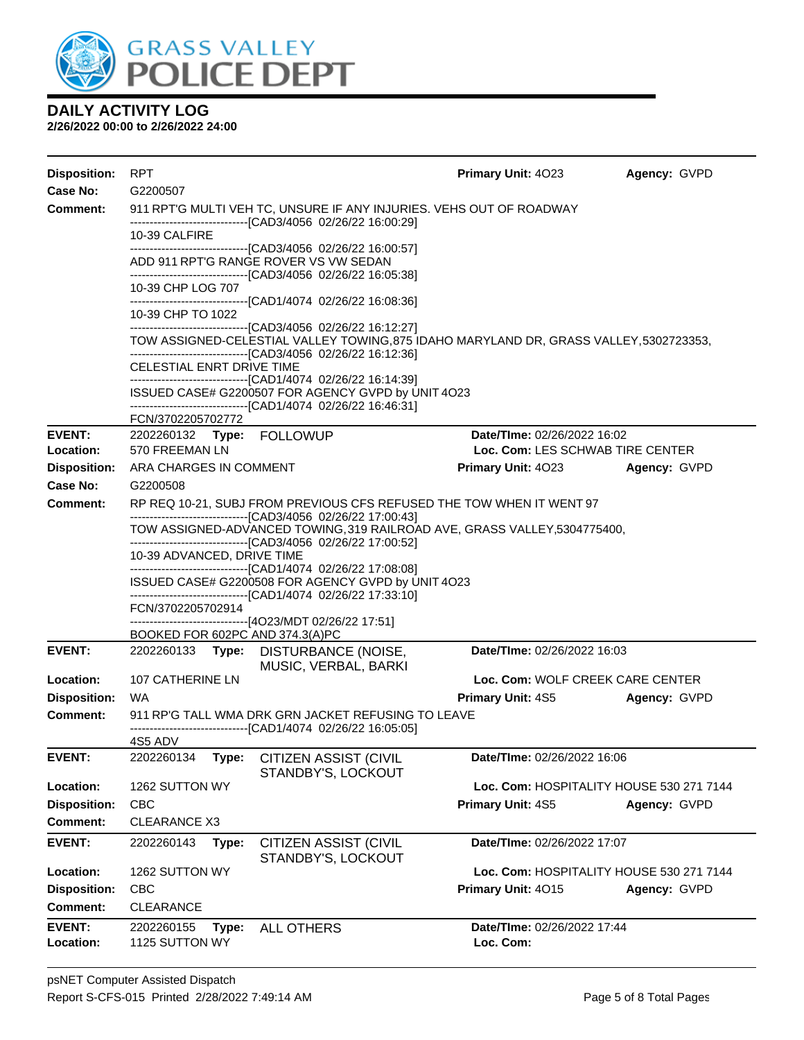

| <b>Disposition:</b>        | <b>RPT</b>                                  |                                                                                                                                                                                                                         | Primary Unit: 4023                                                     | Agency: GVPD |
|----------------------------|---------------------------------------------|-------------------------------------------------------------------------------------------------------------------------------------------------------------------------------------------------------------------------|------------------------------------------------------------------------|--------------|
| <b>Case No:</b>            | G2200507                                    |                                                                                                                                                                                                                         |                                                                        |              |
| Comment:                   |                                             | 911 RPT'G MULTI VEH TC, UNSURE IF ANY INJURIES. VEHS OUT OF ROADWAY<br>------------------------------[CAD3/4056 02/26/22 16:00:29]                                                                                      |                                                                        |              |
|                            | 10-39 CALFIRE                               |                                                                                                                                                                                                                         |                                                                        |              |
|                            |                                             | -------------------------------[CAD3/4056 02/26/22 16:00:57]<br>ADD 911 RPT'G RANGE ROVER VS VW SEDAN<br>-------------------------------[CAD3/4056_02/26/22 16:05:38]                                                   |                                                                        |              |
|                            | 10-39 CHP LOG 707                           |                                                                                                                                                                                                                         |                                                                        |              |
|                            | 10-39 CHP TO 1022                           | -------------------------------[CAD1/4074 02/26/22 16:08:36]                                                                                                                                                            |                                                                        |              |
|                            |                                             | -------------------------------[CAD3/4056 02/26/22 16:12:27]<br>TOW ASSIGNED-CELESTIAL VALLEY TOWING, 875 IDAHO MARYLAND DR, GRASS VALLEY, 5302723353,<br>--------------------------------[CAD3/4056 02/26/22 16:12:36] |                                                                        |              |
|                            | CELESTIAL ENRT DRIVE TIME                   |                                                                                                                                                                                                                         |                                                                        |              |
|                            |                                             | ------------------------------[CAD1/4074_02/26/22 16:14:39]<br>ISSUED CASE# G2200507 FOR AGENCY GVPD by UNIT 4O23<br>------------------------------[CAD1/4074_02/26/22 16:46:31]                                        |                                                                        |              |
|                            | FCN/3702205702772                           |                                                                                                                                                                                                                         |                                                                        |              |
| <b>EVENT:</b><br>Location: | 2202260132 Type: FOLLOWUP<br>570 FREEMAN LN |                                                                                                                                                                                                                         | <b>Date/Time: 02/26/2022 16:02</b><br>Loc. Com: LES SCHWAB TIRE CENTER |              |
| <b>Disposition:</b>        | ARA CHARGES IN COMMENT                      |                                                                                                                                                                                                                         | <b>Primary Unit: 4023</b>                                              | Agency: GVPD |
| <b>Case No:</b>            | G2200508                                    |                                                                                                                                                                                                                         |                                                                        |              |
| <b>Comment:</b>            |                                             | RP REQ 10-21, SUBJ FROM PREVIOUS CFS REFUSED THE TOW WHEN IT WENT 97                                                                                                                                                    |                                                                        |              |
|                            |                                             | -------------------------------[CAD3/4056 02/26/22 17:00:43]<br>TOW ASSIGNED-ADVANCED TOWING, 319 RAILROAD AVE, GRASS VALLEY, 5304775400,<br>--------------------------------[CAD3/4056 02/26/22 17:00:52]              |                                                                        |              |
|                            | 10-39 ADVANCED, DRIVE TIME                  | ------------------------------[CAD1/4074_02/26/22 17:08:08]                                                                                                                                                             |                                                                        |              |
|                            |                                             | ISSUED CASE# G2200508 FOR AGENCY GVPD by UNIT 4O23<br>-------------------------------[CAD1/4074_02/26/22 17:33:10]                                                                                                      |                                                                        |              |
|                            | FCN/3702205702914                           |                                                                                                                                                                                                                         |                                                                        |              |
|                            | BOOKED FOR 602PC AND 374.3(A)PC             | -------------------------------[4O23/MDT 02/26/22 17:51]                                                                                                                                                                |                                                                        |              |
| <b>EVENT:</b>              | 2202260133                                  | Type: DISTURBANCE (NOISE,<br>MUSIC, VERBAL, BARKI                                                                                                                                                                       | Date/TIme: 02/26/2022 16:03                                            |              |
| Location:                  | 107 CATHERINE LN                            |                                                                                                                                                                                                                         | Loc. Com: WOLF CREEK CARE CENTER                                       |              |
| <b>Disposition:</b>        | WA                                          |                                                                                                                                                                                                                         | <b>Primary Unit: 4S5</b>                                               | Agency: GVPD |
| <b>Comment:</b>            |                                             | 911 RP'G TALL WMA DRK GRN JACKET REFUSING TO LEAVE<br>---------------------------------[CAD1/4074_02/26/22_16:05:05]                                                                                                    |                                                                        |              |
|                            | 4S5 ADV                                     |                                                                                                                                                                                                                         |                                                                        |              |
| <b>EVENT:</b>              | 2202260134<br>Type:                         | <b>CITIZEN ASSIST (CIVIL</b><br>STANDBY'S, LOCKOUT                                                                                                                                                                      | Date/TIme: 02/26/2022 16:06                                            |              |
| Location:                  | 1262 SUTTON WY                              |                                                                                                                                                                                                                         | Loc. Com: HOSPITALITY HOUSE 530 271 7144                               |              |
| <b>Disposition:</b>        | <b>CBC</b>                                  |                                                                                                                                                                                                                         | Primary Unit: 4S5                                                      | Agency: GVPD |
| <b>Comment:</b>            | <b>CLEARANCE X3</b>                         |                                                                                                                                                                                                                         |                                                                        |              |
| <b>EVENT:</b>              | 2202260143<br>Type:                         | <b>CITIZEN ASSIST (CIVIL</b><br>STANDBY'S, LOCKOUT                                                                                                                                                                      | Date/TIme: 02/26/2022 17:07                                            |              |
| Location:                  | 1262 SUTTON WY                              |                                                                                                                                                                                                                         | Loc. Com: HOSPITALITY HOUSE 530 271 7144                               |              |
| <b>Disposition:</b>        | <b>CBC</b>                                  |                                                                                                                                                                                                                         | Primary Unit: 4015                                                     | Agency: GVPD |
| <b>Comment:</b>            | <b>CLEARANCE</b>                            |                                                                                                                                                                                                                         |                                                                        |              |
| <b>EVENT:</b>              | 2202260155<br>Type:                         | <b>ALL OTHERS</b>                                                                                                                                                                                                       | Date/TIme: 02/26/2022 17:44                                            |              |
| Location:                  | 1125 SUTTON WY                              |                                                                                                                                                                                                                         | Loc. Com:                                                              |              |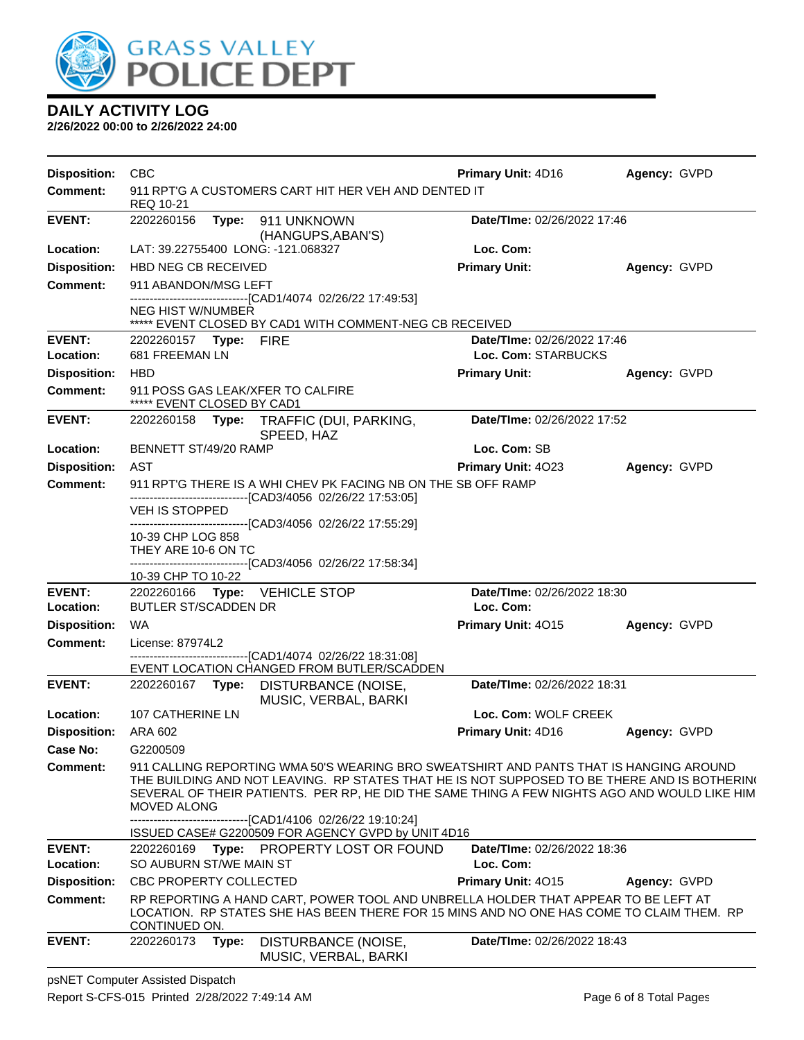

**2/26/2022 00:00 to 2/26/2022 24:00**

| <b>Disposition:</b> | <b>CBC</b>                                                           |                                                                                                                                                                                                                                                                                                                                     | Primary Unit: 4D16          | Agency: GVPD |  |  |
|---------------------|----------------------------------------------------------------------|-------------------------------------------------------------------------------------------------------------------------------------------------------------------------------------------------------------------------------------------------------------------------------------------------------------------------------------|-----------------------------|--------------|--|--|
| <b>Comment:</b>     | REQ 10-21                                                            | 911 RPT'G A CUSTOMERS CART HIT HER VEH AND DENTED IT                                                                                                                                                                                                                                                                                |                             |              |  |  |
| <b>EVENT:</b>       | 2202260156                                                           | Type: 911 UNKNOWN                                                                                                                                                                                                                                                                                                                   | Date/TIme: 02/26/2022 17:46 |              |  |  |
| Location:           | (HANGUPS, ABAN'S)<br>LAT: 39.22755400 LONG: -121.068327<br>Loc. Com: |                                                                                                                                                                                                                                                                                                                                     |                             |              |  |  |
| <b>Disposition:</b> | HBD NEG CB RECEIVED                                                  |                                                                                                                                                                                                                                                                                                                                     | <b>Primary Unit:</b>        | Agency: GVPD |  |  |
| <b>Comment:</b>     | 911 ABANDON/MSG LEFT                                                 |                                                                                                                                                                                                                                                                                                                                     |                             |              |  |  |
|                     |                                                                      | ---------------------------------[CAD1/4074 02/26/22 17:49:53]                                                                                                                                                                                                                                                                      |                             |              |  |  |
|                     | NEG HIST W/NUMBER                                                    | ***** EVENT CLOSED BY CAD1 WITH COMMENT-NEG CB RECEIVED                                                                                                                                                                                                                                                                             |                             |              |  |  |
| <b>EVENT:</b>       | 2202260157 Type: FIRE                                                |                                                                                                                                                                                                                                                                                                                                     | Date/TIme: 02/26/2022 17:46 |              |  |  |
| Location:           | 681 FREEMAN LN                                                       |                                                                                                                                                                                                                                                                                                                                     | Loc. Com: STARBUCKS         |              |  |  |
| <b>Disposition:</b> | <b>HBD</b>                                                           |                                                                                                                                                                                                                                                                                                                                     | <b>Primary Unit:</b>        | Agency: GVPD |  |  |
| <b>Comment:</b>     | 911 POSS GAS LEAK/XFER TO CALFIRE<br>***** EVENT CLOSED BY CAD1      |                                                                                                                                                                                                                                                                                                                                     |                             |              |  |  |
| <b>EVENT:</b>       |                                                                      | 2202260158 Type: TRAFFIC (DUI, PARKING,<br>SPEED, HAZ                                                                                                                                                                                                                                                                               | Date/TIme: 02/26/2022 17:52 |              |  |  |
| Location:           | BENNETT ST/49/20 RAMP                                                |                                                                                                                                                                                                                                                                                                                                     | Loc. Com: SB                |              |  |  |
| <b>Disposition:</b> | AST                                                                  |                                                                                                                                                                                                                                                                                                                                     | Primary Unit: 4023          | Agency: GVPD |  |  |
| <b>Comment:</b>     |                                                                      | 911 RPT'G THERE IS A WHI CHEV PK FACING NB ON THE SB OFF RAMP                                                                                                                                                                                                                                                                       |                             |              |  |  |
|                     | VEH IS STOPPED                                                       | -------------------------------[CAD3/4056 02/26/22 17:53:05]                                                                                                                                                                                                                                                                        |                             |              |  |  |
|                     |                                                                      | -------------------------------[CAD3/4056_02/26/22 17:55:29]                                                                                                                                                                                                                                                                        |                             |              |  |  |
|                     | 10-39 CHP LOG 858                                                    |                                                                                                                                                                                                                                                                                                                                     |                             |              |  |  |
|                     | THEY ARE 10-6 ON TC                                                  | ------------------------------[CAD3/4056 02/26/22 17:58:34]                                                                                                                                                                                                                                                                         |                             |              |  |  |
|                     | 10-39 CHP TO 10-22                                                   |                                                                                                                                                                                                                                                                                                                                     |                             |              |  |  |
| <b>EVENT:</b>       | 2202260166 Type: VEHICLE STOP                                        |                                                                                                                                                                                                                                                                                                                                     | Date/TIme: 02/26/2022 18:30 |              |  |  |
| Location:           | BUTLER ST/SCADDEN DR                                                 |                                                                                                                                                                                                                                                                                                                                     | Loc. Com:                   |              |  |  |
| <b>Disposition:</b> | <b>WA</b>                                                            |                                                                                                                                                                                                                                                                                                                                     | Primary Unit: 4015          | Agency: GVPD |  |  |
| <b>Comment:</b>     | License: 87974L2                                                     | -------------------------------[CAD1/4074 02/26/22 18:31:08]                                                                                                                                                                                                                                                                        |                             |              |  |  |
|                     |                                                                      | EVENT LOCATION CHANGED FROM BUTLER/SCADDEN                                                                                                                                                                                                                                                                                          |                             |              |  |  |
| <b>EVENT:</b>       | 2202260167 Type:                                                     | DISTURBANCE (NOISE,<br>MUSIC, VERBAL, BARKI                                                                                                                                                                                                                                                                                         | Date/TIme: 02/26/2022 18:31 |              |  |  |
| Location:           | 107 CATHERINE LN                                                     |                                                                                                                                                                                                                                                                                                                                     | Loc. Com: WOLF CREEK        |              |  |  |
| <b>Disposition:</b> | ARA 602                                                              |                                                                                                                                                                                                                                                                                                                                     | Primary Unit: 4D16          | Agency: GVPD |  |  |
| Case No:            | G2200509                                                             |                                                                                                                                                                                                                                                                                                                                     |                             |              |  |  |
| <b>Comment:</b>     | <b>MOVED ALONG</b>                                                   | 911 CALLING REPORTING WMA 50'S WEARING BRO SWEATSHIRT AND PANTS THAT IS HANGING AROUND<br>THE BUILDING AND NOT LEAVING.  RP STATES THAT HE IS NOT SUPPOSED TO BE THERE AND IS BOTHERIN(<br>SEVERAL OF THEIR PATIENTS. PER RP, HE DID THE SAME THING A FEW NIGHTS AGO AND WOULD LIKE HIM<br>-----------[CAD1/4106 02/26/22 19:10:24] |                             |              |  |  |
|                     |                                                                      | ISSUED CASE# G2200509 FOR AGENCY GVPD by UNIT 4D16                                                                                                                                                                                                                                                                                  |                             |              |  |  |
| <b>EVENT:</b>       | 2202260169<br>Type:                                                  | PROPERTY LOST OR FOUND                                                                                                                                                                                                                                                                                                              | Date/TIme: 02/26/2022 18:36 |              |  |  |
| Location:           | SO AUBURN ST/WE MAIN ST                                              |                                                                                                                                                                                                                                                                                                                                     | Loc. Com:                   |              |  |  |
| <b>Disposition:</b> | CBC PROPERTY COLLECTED                                               |                                                                                                                                                                                                                                                                                                                                     | Primary Unit: 4015          | Agency: GVPD |  |  |
| <b>Comment:</b>     | CONTINUED ON.                                                        | RP REPORTING A HAND CART, POWER TOOL AND UNBRELLA HOLDER THAT APPEAR TO BE LEFT AT<br>LOCATION. RP STATES SHE HAS BEEN THERE FOR 15 MINS AND NO ONE HAS COME TO CLAIM THEM. RP                                                                                                                                                      |                             |              |  |  |
| <b>EVENT:</b>       | 2202260173<br>Type:                                                  | DISTURBANCE (NOISE,<br>MUSIC, VERBAL, BARKI                                                                                                                                                                                                                                                                                         | Date/TIme: 02/26/2022 18:43 |              |  |  |

psNET Computer Assisted Dispatch Report S-CFS-015 Printed 2/28/2022 7:49:14 AM Page 6 of 8 Total Pages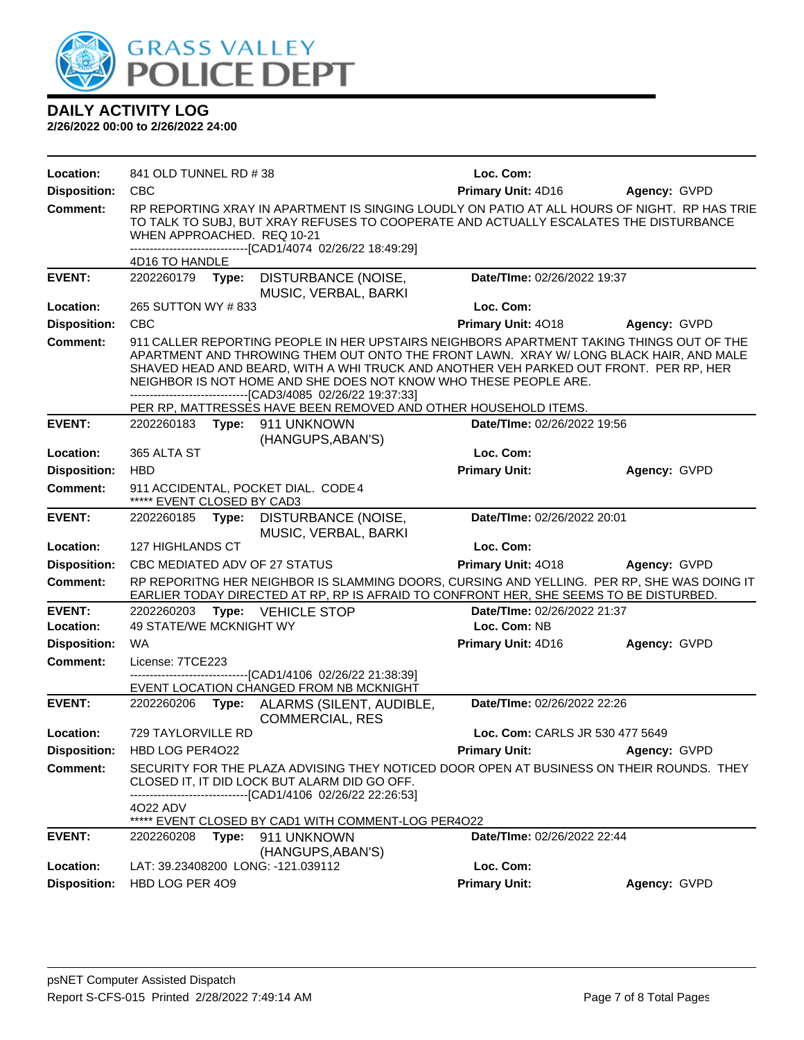

| Location:           | 841 OLD TUNNEL RD # 38                                            |                                                                                                                                                                                                                                                                                                                                                                                                                                                                                    | Loc. Com:                       |              |
|---------------------|-------------------------------------------------------------------|------------------------------------------------------------------------------------------------------------------------------------------------------------------------------------------------------------------------------------------------------------------------------------------------------------------------------------------------------------------------------------------------------------------------------------------------------------------------------------|---------------------------------|--------------|
| <b>Disposition:</b> | <b>CBC</b>                                                        |                                                                                                                                                                                                                                                                                                                                                                                                                                                                                    | Primary Unit: 4D16              | Agency: GVPD |
| <b>Comment:</b>     | WHEN APPROACHED. REQ 10-21                                        | RP REPORTING XRAY IN APARTMENT IS SINGING LOUDLY ON PATIO AT ALL HOURS OF NIGHT. RP HAS TRIE<br>TO TALK TO SUBJ, BUT XRAY REFUSES TO COOPERATE AND ACTUALLY ESCALATES THE DISTURBANCE<br>-------------------------------[CAD1/4074 02/26/22 18:49:29]                                                                                                                                                                                                                              |                                 |              |
|                     | 4D16 TO HANDLE                                                    |                                                                                                                                                                                                                                                                                                                                                                                                                                                                                    |                                 |              |
| <b>EVENT:</b>       | 2202260179 Type:                                                  | DISTURBANCE (NOISE,<br>MUSIC, VERBAL, BARKI                                                                                                                                                                                                                                                                                                                                                                                                                                        | Date/TIme: 02/26/2022 19:37     |              |
| Location:           | 265 SUTTON WY # 833                                               |                                                                                                                                                                                                                                                                                                                                                                                                                                                                                    | Loc. Com:                       |              |
| <b>Disposition:</b> | <b>CBC</b>                                                        |                                                                                                                                                                                                                                                                                                                                                                                                                                                                                    | Primary Unit: 4018              | Agency: GVPD |
| <b>Comment:</b>     |                                                                   | 911 CALLER REPORTING PEOPLE IN HER UPSTAIRS NEIGHBORS APARTMENT TAKING THINGS OUT OF THE<br>APARTMENT AND THROWING THEM OUT ONTO THE FRONT LAWN. XRAY W/ LONG BLACK HAIR, AND MALE<br>SHAVED HEAD AND BEARD, WITH A WHI TRUCK AND ANOTHER VEH PARKED OUT FRONT. PER RP, HER<br>NEIGHBOR IS NOT HOME AND SHE DOES NOT KNOW WHO THESE PEOPLE ARE.<br>-------------------------------[CAD3/4085 02/26/22 19:37:33]<br>PER RP, MATTRESSES HAVE BEEN REMOVED AND OTHER HOUSEHOLD ITEMS. |                                 |              |
| <b>EVENT:</b>       | 2202260183 Type: 911 UNKNOWN                                      |                                                                                                                                                                                                                                                                                                                                                                                                                                                                                    | Date/TIme: 02/26/2022 19:56     |              |
|                     |                                                                   | (HANGUPS, ABAN'S)                                                                                                                                                                                                                                                                                                                                                                                                                                                                  |                                 |              |
| Location:           | 365 ALTA ST                                                       |                                                                                                                                                                                                                                                                                                                                                                                                                                                                                    | Loc. Com:                       |              |
| <b>Disposition:</b> | <b>HBD</b>                                                        |                                                                                                                                                                                                                                                                                                                                                                                                                                                                                    | <b>Primary Unit:</b>            | Agency: GVPD |
| <b>Comment:</b>     | 911 ACCIDENTAL, POCKET DIAL. CODE 4<br>***** EVENT CLOSED BY CAD3 |                                                                                                                                                                                                                                                                                                                                                                                                                                                                                    |                                 |              |
| <b>EVENT:</b>       | 2202260185<br>Type:                                               | DISTURBANCE (NOISE,<br>MUSIC, VERBAL, BARKI                                                                                                                                                                                                                                                                                                                                                                                                                                        | Date/TIme: 02/26/2022 20:01     |              |
| Location:           | 127 HIGHLANDS CT                                                  |                                                                                                                                                                                                                                                                                                                                                                                                                                                                                    | Loc. Com:                       |              |
| <b>Disposition:</b> | CBC MEDIATED ADV OF 27 STATUS                                     |                                                                                                                                                                                                                                                                                                                                                                                                                                                                                    | Primary Unit: 4018              | Agency: GVPD |
| Comment:            |                                                                   | RP REPORITNG HER NEIGHBOR IS SLAMMING DOORS, CURSING AND YELLING. PER RP, SHE WAS DOING IT<br>EARLIER TODAY DIRECTED AT RP, RP IS AFRAID TO CONFRONT HER, SHE SEEMS TO BE DISTURBED.                                                                                                                                                                                                                                                                                               |                                 |              |
| <b>EVENT:</b>       | 2202260203                                                        | Type: VEHICLE STOP                                                                                                                                                                                                                                                                                                                                                                                                                                                                 | Date/TIme: 02/26/2022 21:37     |              |
| Location:           | 49 STATE/WE MCKNIGHT WY                                           |                                                                                                                                                                                                                                                                                                                                                                                                                                                                                    | Loc. Com: NB                    |              |
| <b>Disposition:</b> | <b>WA</b>                                                         |                                                                                                                                                                                                                                                                                                                                                                                                                                                                                    | Primary Unit: 4D16              | Agency: GVPD |
| <b>Comment:</b>     | License: 7TCE223                                                  | -------------------------------[CAD1/4106 02/26/22 21:38:39]                                                                                                                                                                                                                                                                                                                                                                                                                       |                                 |              |
|                     |                                                                   | EVENT LOCATION CHANGED FROM NB MCKNIGHT                                                                                                                                                                                                                                                                                                                                                                                                                                            |                                 |              |
| <b>EVENT:</b>       | 2202260206<br>Type:                                               | ALARMS (SILENT, AUDIBLE,<br><b>COMMERCIAL, RES</b>                                                                                                                                                                                                                                                                                                                                                                                                                                 | Date/TIme: 02/26/2022 22:26     |              |
| Location:           | 729 TAYLORVILLE RD                                                |                                                                                                                                                                                                                                                                                                                                                                                                                                                                                    | Loc. Com: CARLS JR 530 477 5649 |              |
|                     | Disposition: HBD LOG PER4022                                      |                                                                                                                                                                                                                                                                                                                                                                                                                                                                                    | <b>Primary Unit:</b>            | Agency: GVPD |
| Comment:            | 4022 ADV                                                          | SECURITY FOR THE PLAZA ADVISING THEY NOTICED DOOR OPEN AT BUSINESS ON THEIR ROUNDS. THEY<br>CLOSED IT, IT DID LOCK BUT ALARM DID GO OFF.<br>------------------------[CAD1/4106_02/26/22 22:26:53]                                                                                                                                                                                                                                                                                  |                                 |              |
|                     | *****                                                             | EVENT CLOSED BY CAD1 WITH COMMENT-LOG PER4O22                                                                                                                                                                                                                                                                                                                                                                                                                                      |                                 |              |
| <b>EVENT:</b>       | 2202260208<br>Type:                                               | 911 UNKNOWN<br>(HANGUPS, ABAN'S)                                                                                                                                                                                                                                                                                                                                                                                                                                                   | Date/TIme: 02/26/2022 22:44     |              |
| Location:           | LAT: 39.23408200 LONG: -121.039112                                |                                                                                                                                                                                                                                                                                                                                                                                                                                                                                    | Loc. Com:                       |              |
| <b>Disposition:</b> | HBD LOG PER 409                                                   |                                                                                                                                                                                                                                                                                                                                                                                                                                                                                    | <b>Primary Unit:</b>            | Agency: GVPD |